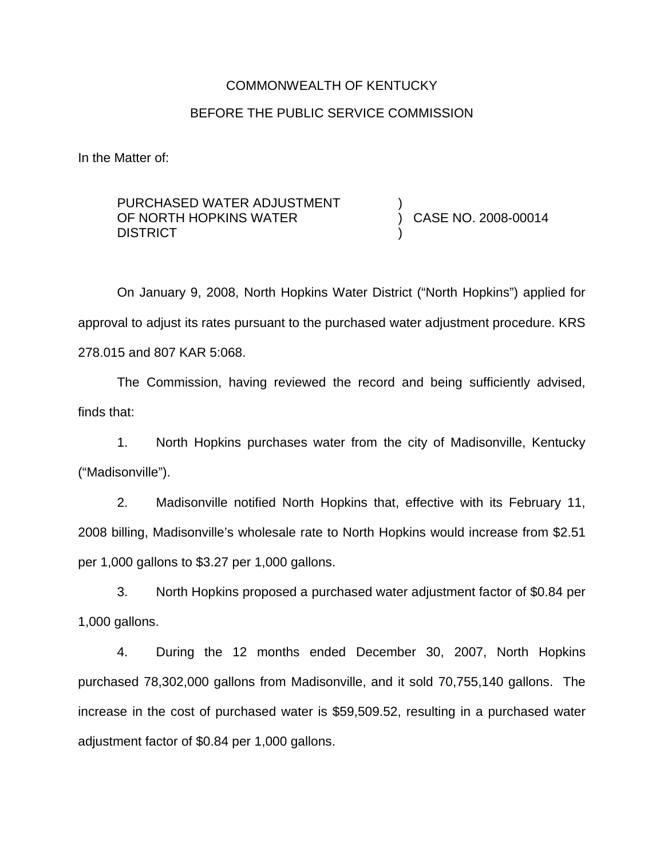# COMMONWEALTH OF KENTUCKY BEFORE THE PUBLIC SERVICE COMMISSION

In the Matter of:

| PURCHASED WATER ADJUSTMENT |                     |
|----------------------------|---------------------|
| OF NORTH HOPKINS WATER     | CASE NO. 2008-00014 |
| <b>DISTRICT</b>            |                     |

On January 9, 2008, North Hopkins Water District ("North Hopkins") applied for approval to adjust its rates pursuant to the purchased water adjustment procedure. KRS 278.015 and 807 KAR 5:068.

The Commission, having reviewed the record and being sufficiently advised, finds that:

1. North Hopkins purchases water from the city of Madisonville, Kentucky ("Madisonville").

2. Madisonville notified North Hopkins that, effective with its February 11, 2008 billing, Madisonville's wholesale rate to North Hopkins would increase from \$2.51 per 1,000 gallons to \$3.27 per 1,000 gallons.

3. North Hopkins proposed a purchased water adjustment factor of \$0.84 per 1,000 gallons.

4. During the 12 months ended December 30, 2007, North Hopkins purchased 78,302,000 gallons from Madisonville, and it sold 70,755,140 gallons. The increase in the cost of purchased water is \$59,509.52, resulting in a purchased water adjustment factor of \$0.84 per 1,000 gallons.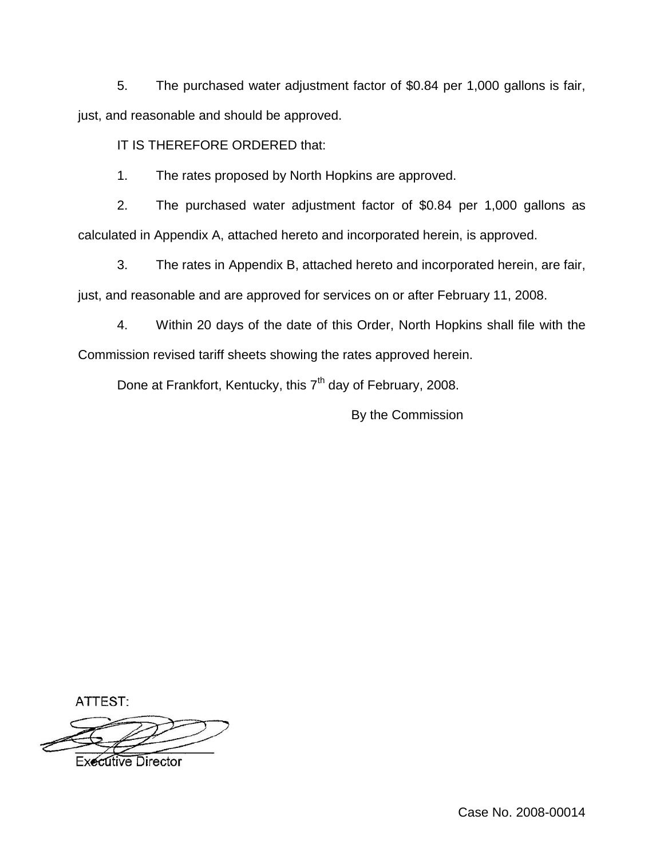5. The purchased water adjustment factor of \$0.84 per 1,000 gallons is fair, just, and reasonable and should be approved.

IT IS THEREFORE ORDERED that:

1. The rates proposed by North Hopkins are approved.

2. The purchased water adjustment factor of \$0.84 per 1,000 gallons as calculated in Appendix A, attached hereto and incorporated herein, is approved.

3. The rates in Appendix B, attached hereto and incorporated herein, are fair, just, and reasonable and are approved for services on or after February 11, 2008.

4. Within 20 days of the date of this Order, North Hopkins shall file with the Commission revised tariff sheets showing the rates approved herein.

Done at Frankfort, Kentucky, this 7<sup>th</sup> day of February, 2008.

By the Commission

ATTEST:



**Executive Director**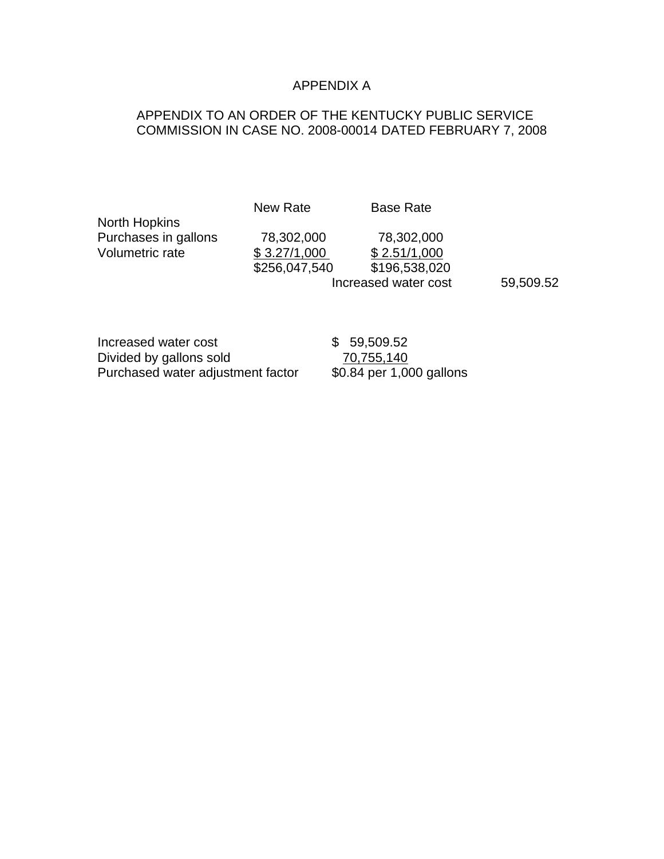## APPENDIX A

## APPENDIX TO AN ORDER OF THE KENTUCKY PUBLIC SERVICE COMMISSION IN CASE NO. 2008-00014 DATED FEBRUARY 7, 2008

New Rate Base Rate

North Hopkins Purchases in gallons 78,302,000 78,302,000<br>Volumetric rate  $$3.27/1,000$   $$2.51/1,000$ 

 $$3.27/1,000$ 

\$256,047,540 \$196,538,020 Increased water cost 59,509.52

Increased water cost  $$59,509.52$ Divided by gallons sold<br>Purchased water adjustment factor \$0.84 per 1,000 gallons Purchased water adjustment factor